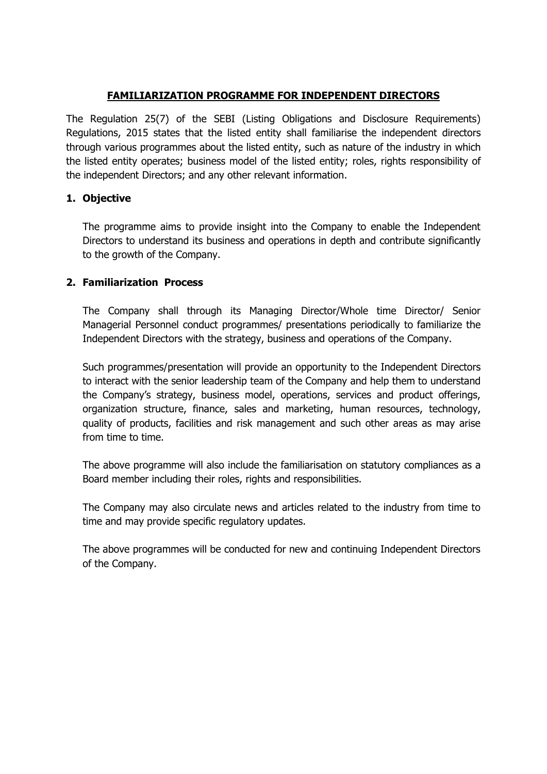## **FAMILIARIZATION PROGRAMME FOR INDEPENDENT DIRECTORS**

The Regulation 25(7) of the SEBI (Listing Obligations and Disclosure Requirements) Regulations, 2015 states that the listed entity shall familiarise the independent directors through various programmes about the listed entity, such as nature of the industry in which the listed entity operates; business model of the listed entity; roles, rights responsibility of the independent Directors; and any other relevant information.

## **1. Objective**

The programme aims to provide insight into the Company to enable the Independent Directors to understand its business and operations in depth and contribute significantly to the growth of the Company.

## **2. Familiarization Process**

The Company shall through its Managing Director/Whole time Director/ Senior Managerial Personnel conduct programmes/ presentations periodically to familiarize the Independent Directors with the strategy, business and operations of the Company.

Such programmes/presentation will provide an opportunity to the Independent Directors to interact with the senior leadership team of the Company and help them to understand the Company's strategy, business model, operations, services and product offerings, organization structure, finance, sales and marketing, human resources, technology, quality of products, facilities and risk management and such other areas as may arise from time to time.

The above programme will also include the familiarisation on statutory compliances as a Board member including their roles, rights and responsibilities.

The Company may also circulate news and articles related to the industry from time to time and may provide specific regulatory updates.

The above programmes will be conducted for new and continuing Independent Directors of the Company.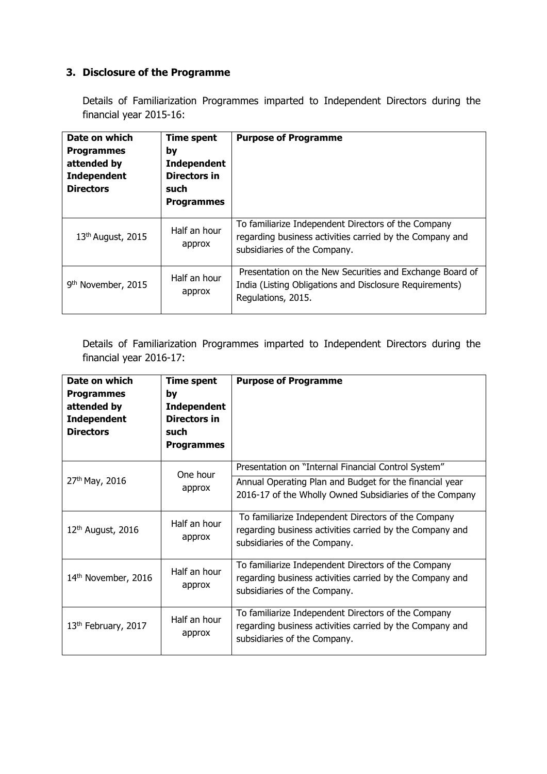## **3. Disclosure of the Programme**

Details of Familiarization Programmes imparted to Independent Directors during the financial year 2015-16:

| Date on which<br><b>Programmes</b><br>attended by<br><b>Independent</b><br><b>Directors</b> | <b>Time spent</b><br>by<br><b>Independent</b><br>Directors in<br>such<br><b>Programmes</b> | <b>Purpose of Programme</b>                                                                                                                     |
|---------------------------------------------------------------------------------------------|--------------------------------------------------------------------------------------------|-------------------------------------------------------------------------------------------------------------------------------------------------|
| $13th$ August, 2015                                                                         | Half an hour<br>approx                                                                     | To familiarize Independent Directors of the Company<br>regarding business activities carried by the Company and<br>subsidiaries of the Company. |
| 9 <sup>th</sup> November, 2015                                                              | Half an hour<br>approx                                                                     | Presentation on the New Securities and Exchange Board of<br>India (Listing Obligations and Disclosure Requirements)<br>Regulations, 2015.       |

Details of Familiarization Programmes imparted to Independent Directors during the financial year 2016-17:

| Date on which<br><b>Programmes</b><br>attended by<br><b>Independent</b><br><b>Directors</b> | <b>Time spent</b><br>by<br><b>Independent</b><br>Directors in<br>such<br><b>Programmes</b> | <b>Purpose of Programme</b>                                                                                                                     |
|---------------------------------------------------------------------------------------------|--------------------------------------------------------------------------------------------|-------------------------------------------------------------------------------------------------------------------------------------------------|
|                                                                                             | One hour                                                                                   | Presentation on "Internal Financial Control System"                                                                                             |
| 27th May, 2016                                                                              | approx                                                                                     | Annual Operating Plan and Budget for the financial year<br>2016-17 of the Wholly Owned Subsidiaries of the Company                              |
| $12th$ August, 2016                                                                         | Half an hour<br>approx                                                                     | To familiarize Independent Directors of the Company<br>regarding business activities carried by the Company and<br>subsidiaries of the Company. |
| 14th November, 2016                                                                         | Half an hour<br>approx                                                                     | To familiarize Independent Directors of the Company<br>regarding business activities carried by the Company and<br>subsidiaries of the Company. |
| 13 <sup>th</sup> February, 2017                                                             | Half an hour<br>approx                                                                     | To familiarize Independent Directors of the Company<br>regarding business activities carried by the Company and<br>subsidiaries of the Company. |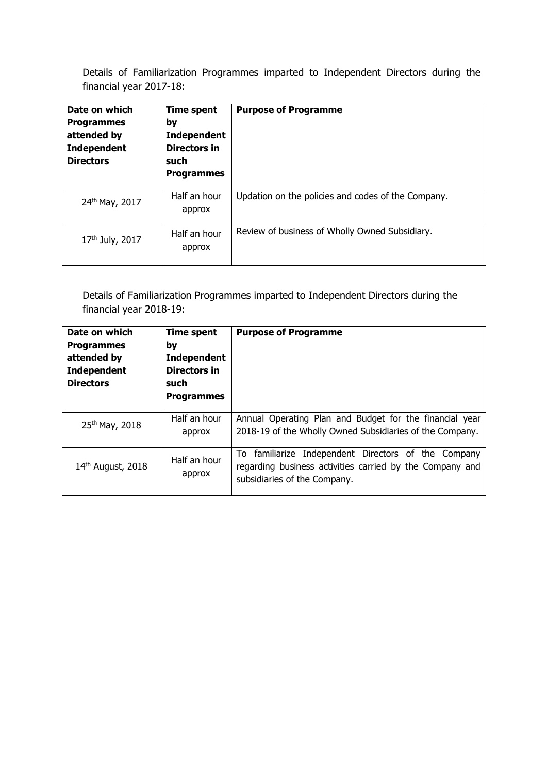Details of Familiarization Programmes imparted to Independent Directors during the financial year 2017-18:

| Date on which<br><b>Programmes</b><br>attended by<br><b>Independent</b><br><b>Directors</b> | Time spent<br>by<br><b>Independent</b><br><b>Directors in</b><br>such<br><b>Programmes</b> | <b>Purpose of Programme</b>                        |
|---------------------------------------------------------------------------------------------|--------------------------------------------------------------------------------------------|----------------------------------------------------|
| 24th May, 2017                                                                              | Half an hour<br>approx                                                                     | Updation on the policies and codes of the Company. |
| $17th$ July, 2017                                                                           | Half an hour<br>approx                                                                     | Review of business of Wholly Owned Subsidiary.     |

Details of Familiarization Programmes imparted to Independent Directors during the financial year 2018-19:

| Date on which<br><b>Programmes</b><br>attended by<br><b>Independent</b><br><b>Directors</b> | <b>Time spent</b><br>by<br><b>Independent</b><br>Directors in<br>such<br><b>Programmes</b> | <b>Purpose of Programme</b>                                                                                                                     |
|---------------------------------------------------------------------------------------------|--------------------------------------------------------------------------------------------|-------------------------------------------------------------------------------------------------------------------------------------------------|
| 25th May, 2018                                                                              | Half an hour<br>approx                                                                     | Annual Operating Plan and Budget for the financial year<br>2018-19 of the Wholly Owned Subsidiaries of the Company.                             |
| $14th$ August, 2018                                                                         | Half an hour<br>approx                                                                     | To familiarize Independent Directors of the Company<br>regarding business activities carried by the Company and<br>subsidiaries of the Company. |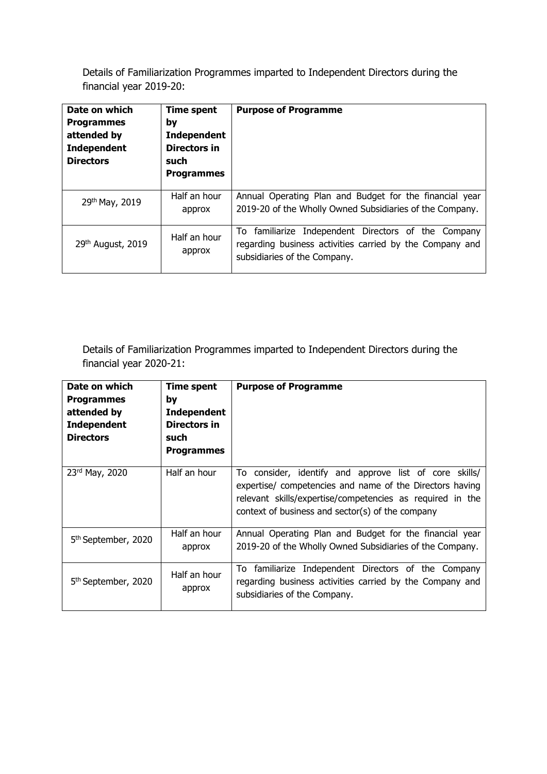Details of Familiarization Programmes imparted to Independent Directors during the financial year 2019-20:

| Date on which<br><b>Programmes</b><br>attended by<br><b>Independent</b><br><b>Directors</b> | <b>Time spent</b><br>by<br><b>Independent</b><br>Directors in<br>such<br><b>Programmes</b> | <b>Purpose of Programme</b>                                                                                                                     |
|---------------------------------------------------------------------------------------------|--------------------------------------------------------------------------------------------|-------------------------------------------------------------------------------------------------------------------------------------------------|
| 29th May, 2019                                                                              | Half an hour<br>approx                                                                     | Annual Operating Plan and Budget for the financial year<br>2019-20 of the Wholly Owned Subsidiaries of the Company.                             |
| $29th$ August, 2019                                                                         | Half an hour<br>approx                                                                     | To familiarize Independent Directors of the Company<br>regarding business activities carried by the Company and<br>subsidiaries of the Company. |

Details of Familiarization Programmes imparted to Independent Directors during the financial year 2020-21:

| Date on which<br><b>Programmes</b><br>attended by<br><b>Independent</b><br><b>Directors</b> | Time spent<br>by<br><b>Independent</b><br>Directors in<br>such<br><b>Programmes</b> | <b>Purpose of Programme</b>                                                                                                                                                                                                         |
|---------------------------------------------------------------------------------------------|-------------------------------------------------------------------------------------|-------------------------------------------------------------------------------------------------------------------------------------------------------------------------------------------------------------------------------------|
| $23rd$ May, 2020                                                                            | Half an hour                                                                        | To consider, identify and approve list of core skills/<br>expertise/ competencies and name of the Directors having<br>relevant skills/expertise/competencies as required in the<br>context of business and sector(s) of the company |
| 5 <sup>th</sup> September, 2020                                                             | Half an hour<br>approx                                                              | Annual Operating Plan and Budget for the financial year<br>2019-20 of the Wholly Owned Subsidiaries of the Company.                                                                                                                 |
| 5 <sup>th</sup> September, 2020                                                             | Half an hour<br>approx                                                              | To familiarize Independent Directors of the Company<br>regarding business activities carried by the Company and<br>subsidiaries of the Company.                                                                                     |